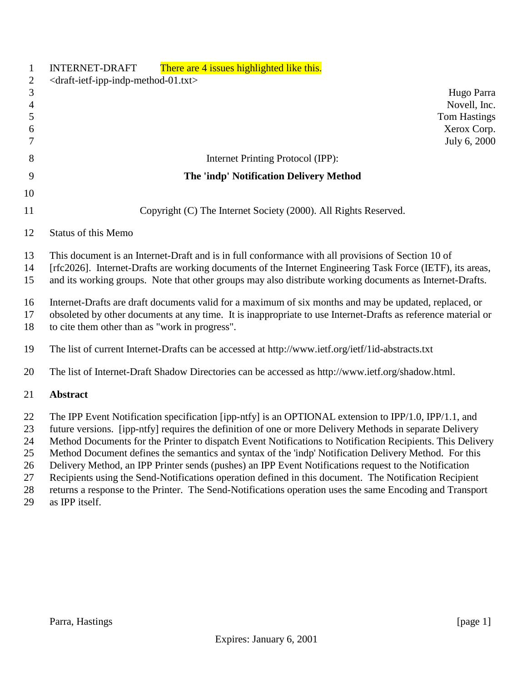| $\mathbf{1}$<br>$\overline{2}$                   | There are 4 issues highlighted like this.<br><b>INTERNET-DRAFT</b><br><draft-ietf-ipp-indp-method-01.txt></draft-ietf-ipp-indp-method-01.txt>                                                                                                                                                                                                                                                                                                                                                                                                                                                                                                                                                                                                                                             |
|--------------------------------------------------|-------------------------------------------------------------------------------------------------------------------------------------------------------------------------------------------------------------------------------------------------------------------------------------------------------------------------------------------------------------------------------------------------------------------------------------------------------------------------------------------------------------------------------------------------------------------------------------------------------------------------------------------------------------------------------------------------------------------------------------------------------------------------------------------|
| $\mathfrak{Z}$<br>$\overline{4}$<br>5<br>6<br>7  | Hugo Parra<br>Novell, Inc.<br><b>Tom Hastings</b><br>Xerox Corp.<br>July 6, 2000                                                                                                                                                                                                                                                                                                                                                                                                                                                                                                                                                                                                                                                                                                          |
| 8                                                | Internet Printing Protocol (IPP):                                                                                                                                                                                                                                                                                                                                                                                                                                                                                                                                                                                                                                                                                                                                                         |
| 9                                                | The 'indp' Notification Delivery Method                                                                                                                                                                                                                                                                                                                                                                                                                                                                                                                                                                                                                                                                                                                                                   |
| 10                                               |                                                                                                                                                                                                                                                                                                                                                                                                                                                                                                                                                                                                                                                                                                                                                                                           |
| 11                                               | Copyright (C) The Internet Society (2000). All Rights Reserved.                                                                                                                                                                                                                                                                                                                                                                                                                                                                                                                                                                                                                                                                                                                           |
| 12                                               | <b>Status of this Memo</b>                                                                                                                                                                                                                                                                                                                                                                                                                                                                                                                                                                                                                                                                                                                                                                |
| 13<br>14<br>15                                   | This document is an Internet-Draft and is in full conformance with all provisions of Section 10 of<br>[rfc2026]. Internet-Drafts are working documents of the Internet Engineering Task Force (IETF), its areas,<br>and its working groups. Note that other groups may also distribute working documents as Internet-Drafts.                                                                                                                                                                                                                                                                                                                                                                                                                                                              |
| 16<br>17<br>18                                   | Internet-Drafts are draft documents valid for a maximum of six months and may be updated, replaced, or<br>obsoleted by other documents at any time. It is inappropriate to use Internet-Drafts as reference material or<br>to cite them other than as "work in progress".                                                                                                                                                                                                                                                                                                                                                                                                                                                                                                                 |
| 19                                               | The list of current Internet-Drafts can be accessed at http://www.ietf.org/ietf/1id-abstracts.txt                                                                                                                                                                                                                                                                                                                                                                                                                                                                                                                                                                                                                                                                                         |
| 20                                               | The list of Internet-Draft Shadow Directories can be accessed as http://www.ietf.org/shadow.html.                                                                                                                                                                                                                                                                                                                                                                                                                                                                                                                                                                                                                                                                                         |
| 21                                               | <b>Abstract</b>                                                                                                                                                                                                                                                                                                                                                                                                                                                                                                                                                                                                                                                                                                                                                                           |
| 22<br>23<br>24<br>25<br>26<br>$27\,$<br>28<br>29 | The IPP Event Notification specification [ipp-ntfy] is an OPTIONAL extension to IPP/1.0, IPP/1.1, and<br>future versions. [ipp-ntfy] requires the definition of one or more Delivery Methods in separate Delivery<br>Method Documents for the Printer to dispatch Event Notifications to Notification Recipients. This Delivery<br>Method Document defines the semantics and syntax of the 'indp' Notification Delivery Method. For this<br>Delivery Method, an IPP Printer sends (pushes) an IPP Event Notifications request to the Notification<br>Recipients using the Send-Notifications operation defined in this document. The Notification Recipient<br>returns a response to the Printer. The Send-Notifications operation uses the same Encoding and Transport<br>as IPP itself. |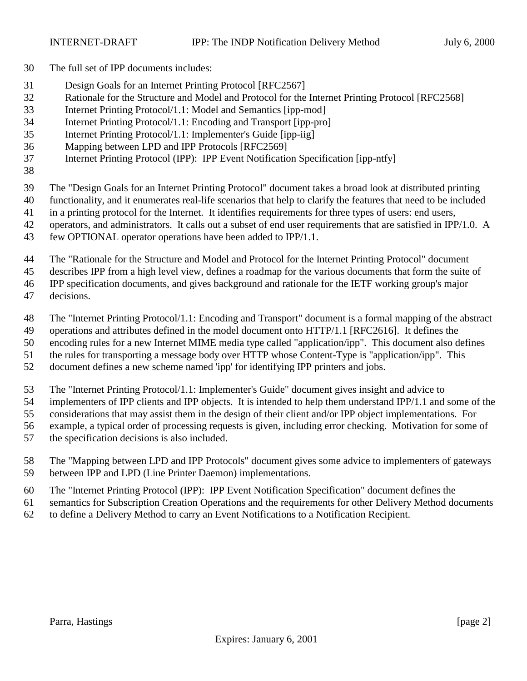- The full set of IPP documents includes:
- Design Goals for an Internet Printing Protocol [RFC2567]
- Rationale for the Structure and Model and Protocol for the Internet Printing Protocol [RFC2568]
- Internet Printing Protocol/1.1: Model and Semantics [ipp-mod]
- Internet Printing Protocol/1.1: Encoding and Transport [ipp-pro]
- Internet Printing Protocol/1.1: Implementer's Guide [ipp-iig]
- Mapping between LPD and IPP Protocols [RFC2569]
- Internet Printing Protocol (IPP): IPP Event Notification Specification [ipp-ntfy]
- 

The "Design Goals for an Internet Printing Protocol" document takes a broad look at distributed printing

functionality, and it enumerates real-life scenarios that help to clarify the features that need to be included

- in a printing protocol for the Internet. It identifies requirements for three types of users: end users,
- operators, and administrators. It calls out a subset of end user requirements that are satisfied in IPP/1.0. A
- few OPTIONAL operator operations have been added to IPP/1.1.

The "Rationale for the Structure and Model and Protocol for the Internet Printing Protocol" document

describes IPP from a high level view, defines a roadmap for the various documents that form the suite of

IPP specification documents, and gives background and rationale for the IETF working group's major

decisions.

The "Internet Printing Protocol/1.1: Encoding and Transport" document is a formal mapping of the abstract

operations and attributes defined in the model document onto HTTP/1.1 [RFC2616]. It defines the

 encoding rules for a new Internet MIME media type called "application/ipp". This document also defines the rules for transporting a message body over HTTP whose Content-Type is "application/ipp". This

document defines a new scheme named 'ipp' for identifying IPP printers and jobs.

The "Internet Printing Protocol/1.1: Implementer's Guide" document gives insight and advice to

implementers of IPP clients and IPP objects. It is intended to help them understand IPP/1.1 and some of the

considerations that may assist them in the design of their client and/or IPP object implementations. For

- example, a typical order of processing requests is given, including error checking. Motivation for some of
- the specification decisions is also included.
- The "Mapping between LPD and IPP Protocols" document gives some advice to implementers of gateways between IPP and LPD (Line Printer Daemon) implementations.
- The "Internet Printing Protocol (IPP): IPP Event Notification Specification" document defines the

semantics for Subscription Creation Operations and the requirements for other Delivery Method documents

to define a Delivery Method to carry an Event Notifications to a Notification Recipient.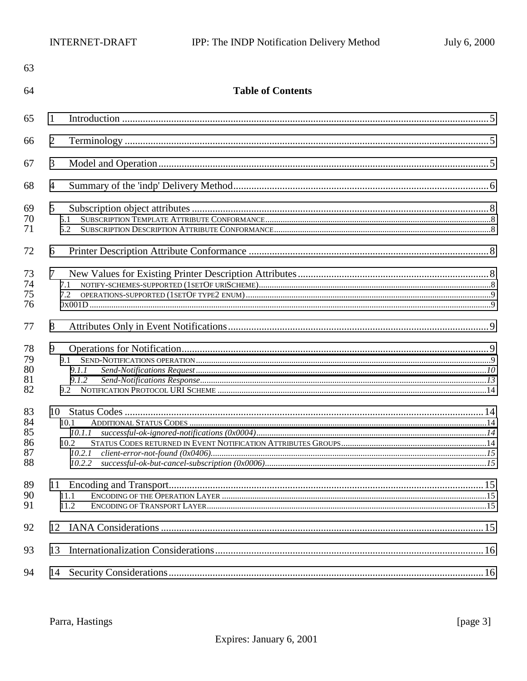| 63                               |                                                  |  |
|----------------------------------|--------------------------------------------------|--|
| 64                               | <b>Table of Contents</b>                         |  |
| 65                               | 1                                                |  |
| 66                               | $\overline{2}$                                   |  |
| 67                               | 3                                                |  |
| 68                               | $\overline{4}$                                   |  |
| 69<br>70<br>71                   | $5\overline{)}$<br>5.1<br>5.2                    |  |
| 72                               | 6                                                |  |
| 73<br>74<br>75<br>76             | $\tau$<br>7.1<br>7.2                             |  |
| 77                               | 8                                                |  |
| 78<br>79<br>80<br>81<br>82       | 9<br>9.1<br>9.1.1<br>9.1.2                       |  |
| 83<br>84<br>85<br>86<br>87<br>88 | 10<br>10.1<br>10.1.1<br>10.2<br>10.2.1<br>10.2.2 |  |
| 89<br>90<br>91                   | 11.1<br>11.2                                     |  |
| 92                               | 12                                               |  |
| 93                               | 13                                               |  |
| 94                               | 14                                               |  |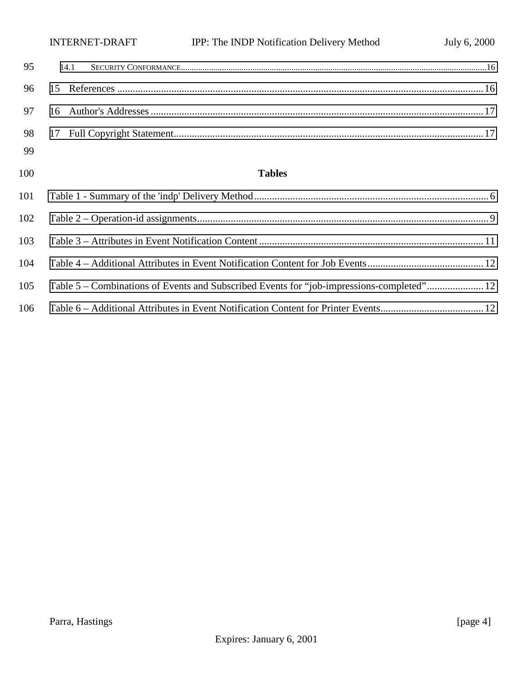|    |      | INTERNET-DRAFT | IPP: The INDP Notification Delivery Method | July 6, 2000 |
|----|------|----------------|--------------------------------------------|--------------|
| 95 | 14.1 |                |                                            |              |
|    |      |                |                                            |              |
|    |      |                |                                            |              |
|    |      |                |                                            |              |
| 99 |      |                |                                            |              |

# **Tables**

| 101 |                                                                                          |  |
|-----|------------------------------------------------------------------------------------------|--|
| 102 |                                                                                          |  |
| 103 |                                                                                          |  |
| 104 |                                                                                          |  |
| 105 | Table 5 – Combinations of Events and Subscribed Events for "job-impressions-completed"12 |  |
| 106 |                                                                                          |  |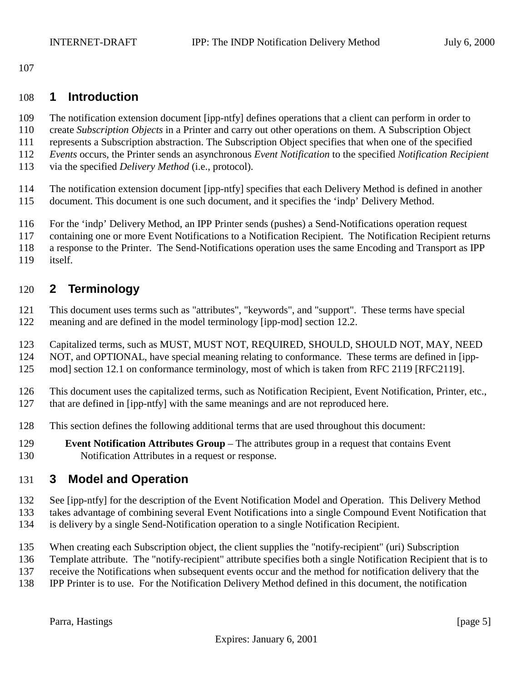<span id="page-4-0"></span>

### **1 Introduction**

- The notification extension document [ipp-ntfy] defines operations that a client can perform in order to
- create *Subscription Objects* in a Printer and carry out other operations on them. A Subscription Object
- represents a Subscription abstraction. The Subscription Object specifies that when one of the specified
- *Events* occurs, the Printer sends an asynchronous *Event Notification* to the specified *Notification Recipient*
- via the specified *Delivery Method* (i.e., protocol).
- The notification extension document [ipp-ntfy] specifies that each Delivery Method is defined in another
- document. This document is one such document, and it specifies the 'indp' Delivery Method.
- For the 'indp' Delivery Method, an IPP Printer sends (pushes) a Send-Notifications operation request
- containing one or more Event Notifications to a Notification Recipient. The Notification Recipient returns
- a response to the Printer. The Send-Notifications operation uses the same Encoding and Transport as IPP
- itself.

# **2 Terminology**

- This document uses terms such as "attributes", "keywords", and "support". These terms have special
- meaning and are defined in the model terminology [ipp-mod] section 12.2.
- Capitalized terms, such as MUST, MUST NOT, REQUIRED, SHOULD, SHOULD NOT, MAY, NEED
- NOT, and OPTIONAL, have special meaning relating to conformance. These terms are defined in [ipp-
- mod] section 12.1 on conformance terminology, most of which is taken from RFC 2119 [RFC2119].
- This document uses the capitalized terms, such as Notification Recipient, Event Notification, Printer, etc.,
- that are defined in [ipp-ntfy] with the same meanings and are not reproduced here.
- This section defines the following additional terms that are used throughout this document:
- **Event Notification Attributes Group**  The attributes group in a request that contains Event Notification Attributes in a request or response.

# **3 Model and Operation**

- See [ipp-ntfy] for the description of the Event Notification Model and Operation. This Delivery Method
- takes advantage of combining several Event Notifications into a single Compound Event Notification that
- is delivery by a single Send-Notification operation to a single Notification Recipient.
- When creating each Subscription object, the client supplies the "notify-recipient" (uri) Subscription
- Template attribute. The "notify-recipient" attribute specifies both a single Notification Recipient that is to
- receive the Notifications when subsequent events occur and the method for notification delivery that the IPP Printer is to use. For the Notification Delivery Method defined in this document, the notification

Parra, Hastings [page 5]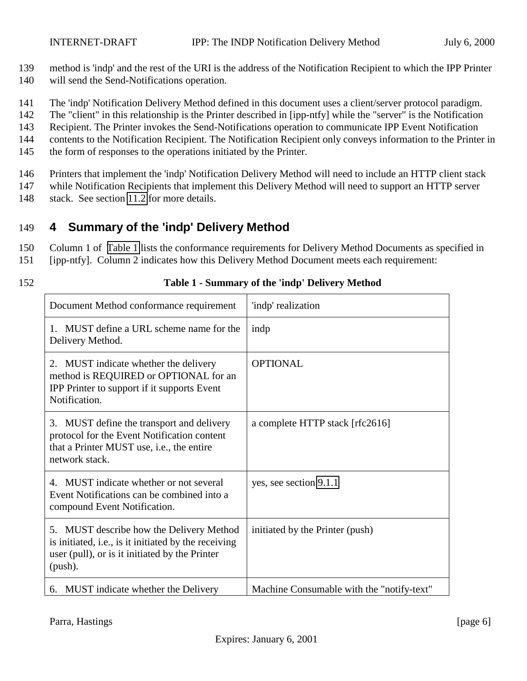<span id="page-5-0"></span>

- 139 method is 'indp' and the rest of the URI is the address of the Notification Recipient to which the IPP Printer
- 140 will send the Send-Notifications operation.
- 141 The 'indp' Notification Delivery Method defined in this document uses a client/server protocol paradigm.
- 142 The "client" in this relationship is the Printer described in [ipp-ntfy] while the "server" is the Notification
- 143 Recipient. The Printer invokes the Send-Notifications operation to communicate IPP Event Notification
- 144 contents to the Notification Recipient. The Notification Recipient only conveys information to the Printer in
- 145 the form of responses to the operations initiated by the Printer.
- 146 Printers that implement the 'indp' Notification Delivery Method will need to include an HTTP client stack
- 147 while Notification Recipients that implement this Delivery Method will need to support an HTTP server
- 148 stack. See section [11.2](#page-14-0) for more details.

# 149 **4 Summary of the 'indp' Delivery Method**

- 150 Column 1 of Table 1 lists the conformance requirements for Delivery Method Documents as specified in
- 151 [ipp-ntfy]. Column 2 indicates how this Delivery Method Document meets each requirement:
- 

### 152 **Table 1 - Summary of the 'indp' Delivery Method**

| Document Method conformance requirement                                                                                                                       | 'indp' realization                        |
|---------------------------------------------------------------------------------------------------------------------------------------------------------------|-------------------------------------------|
| 1. MUST define a URL scheme name for the<br>Delivery Method.                                                                                                  | indp                                      |
| 2. MUST indicate whether the delivery<br>method is REQUIRED or OPTIONAL for an<br>IPP Printer to support if it supports Event<br>Notification.                | <b>OPTIONAL</b>                           |
| 3. MUST define the transport and delivery<br>protocol for the Event Notification content<br>that a Printer MUST use, i.e., the entire<br>network stack.       | a complete HTTP stack [rfc2616]           |
| MUST indicate whether or not several<br>4.<br>Event Notifications can be combined into a<br>compound Event Notification.                                      | yes, see section 9.1.1                    |
| 5. MUST describe how the Delivery Method<br>is initiated, i.e., is it initiated by the receiving<br>user (pull), or is it initiated by the Printer<br>(push). | initiated by the Printer (push)           |
| 6. MUST indicate whether the Delivery                                                                                                                         | Machine Consumable with the "notify-text" |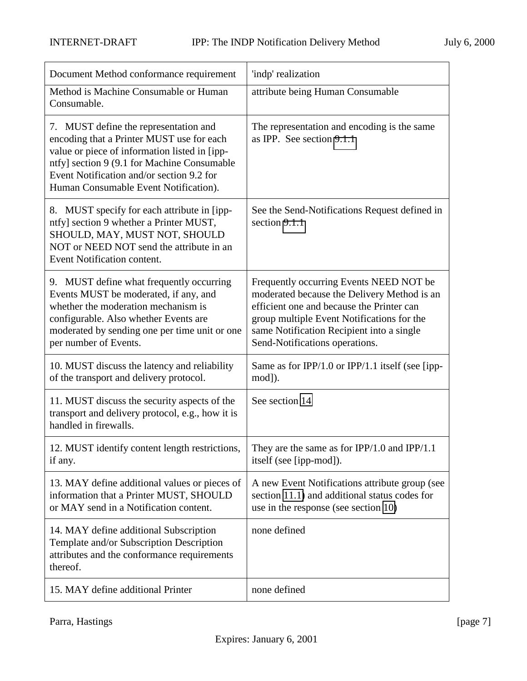| Document Method conformance requirement                                                                                                                                                                                                                                  | 'indp' realization                                                                                                                                                                                                                                               |
|--------------------------------------------------------------------------------------------------------------------------------------------------------------------------------------------------------------------------------------------------------------------------|------------------------------------------------------------------------------------------------------------------------------------------------------------------------------------------------------------------------------------------------------------------|
| Method is Machine Consumable or Human<br>Consumable.                                                                                                                                                                                                                     | attribute being Human Consumable                                                                                                                                                                                                                                 |
| 7. MUST define the representation and<br>encoding that a Printer MUST use for each<br>value or piece of information listed in [ipp-<br>ntfy] section 9 (9.1 for Machine Consumable<br>Event Notification and/or section 9.2 for<br>Human Consumable Event Notification). | The representation and encoding is the same<br>as IPP. See section 9.1.1                                                                                                                                                                                         |
| 8. MUST specify for each attribute in [ipp-<br>ntfy] section 9 whether a Printer MUST,<br>SHOULD, MAY, MUST NOT, SHOULD<br>NOT or NEED NOT send the attribute in an<br>Event Notification content.                                                                       | See the Send-Notifications Request defined in<br>section 9.1.1                                                                                                                                                                                                   |
| 9. MUST define what frequently occurring<br>Events MUST be moderated, if any, and<br>whether the moderation mechanism is<br>configurable. Also whether Events are<br>moderated by sending one per time unit or one<br>per number of Events.                              | Frequently occurring Events NEED NOT be<br>moderated because the Delivery Method is an<br>efficient one and because the Printer can<br>group multiple Event Notifications for the<br>same Notification Recipient into a single<br>Send-Notifications operations. |
| 10. MUST discuss the latency and reliability<br>of the transport and delivery protocol.                                                                                                                                                                                  | Same as for IPP/1.0 or IPP/1.1 itself (see [ipp-<br>mod]).                                                                                                                                                                                                       |
| 11. MUST discuss the security aspects of the<br>transport and delivery protocol, e.g., how it is<br>handled in firewalls.                                                                                                                                                | See section 14                                                                                                                                                                                                                                                   |
| 12. MUST identify content length restrictions,<br>if any.                                                                                                                                                                                                                | They are the same as for IPP/1.0 and IPP/1.1<br>itself (see [ipp-mod]).                                                                                                                                                                                          |
| 13. MAY define additional values or pieces of<br>information that a Printer MUST, SHOULD<br>or MAY send in a Notification content.                                                                                                                                       | A new Event Notifications attribute group (see<br>section 11.1) and additional status codes for<br>use in the response (see section 10)                                                                                                                          |
| 14. MAY define additional Subscription<br>Template and/or Subscription Description<br>attributes and the conformance requirements<br>thereof.                                                                                                                            | none defined                                                                                                                                                                                                                                                     |
| 15. MAY define additional Printer                                                                                                                                                                                                                                        | none defined                                                                                                                                                                                                                                                     |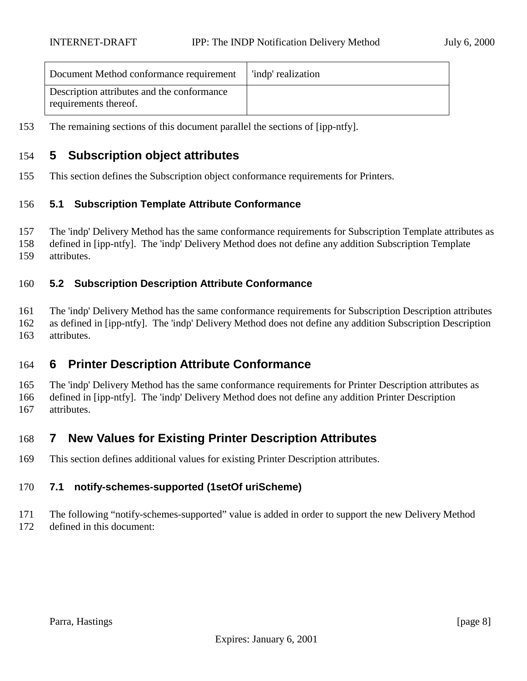<span id="page-7-0"></span>

| Document Method conformance requirement                             | 'indp' realization |
|---------------------------------------------------------------------|--------------------|
| Description attributes and the conformance<br>requirements thereof. |                    |

The remaining sections of this document parallel the sections of [ipp-ntfy].

# **5 Subscription object attributes**

This section defines the Subscription object conformance requirements for Printers.

#### **5.1 Subscription Template Attribute Conformance**

 The 'indp' Delivery Method has the same conformance requirements for Subscription Template attributes as defined in [ipp-ntfy]. The 'indp' Delivery Method does not define any addition Subscription Template attributes.

#### **5.2 Subscription Description Attribute Conformance**

 The 'indp' Delivery Method has the same conformance requirements for Subscription Description attributes as defined in [ipp-ntfy]. The 'indp' Delivery Method does not define any addition Subscription Description attributes.

# **6 Printer Description Attribute Conformance**

 The 'indp' Delivery Method has the same conformance requirements for Printer Description attributes as defined in [ipp-ntfy]. The 'indp' Delivery Method does not define any addition Printer Description attributes.

# **7 New Values for Existing Printer Description Attributes**

This section defines additional values for existing Printer Description attributes.

#### **7.1 notify-schemes-supported (1setOf uriScheme)**

- The following "notify-schemes-supported" value is added in order to support the new Delivery Method
- defined in this document: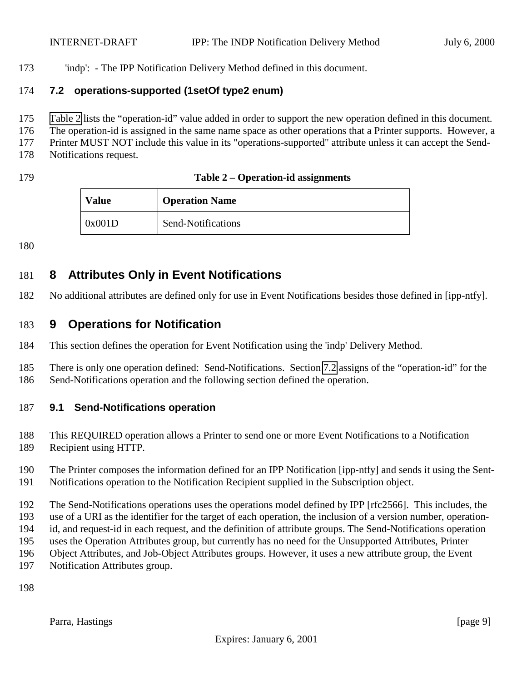<span id="page-8-0"></span>'indp': - The IPP Notification Delivery Method defined in this document.

#### **7.2 operations-supported (1setOf type2 enum)**

- Table 2 lists the "operation-id" value added in order to support the new operation defined in this document.
- The operation-id is assigned in the same name space as other operations that a Printer supports. However, a
- Printer MUST NOT include this value in its "operations-supported" attribute unless it can accept the Send-
- Notifications request.
- 

| 179 | Table 2 – Operation-id assignments |
|-----|------------------------------------|
|-----|------------------------------------|

| <b>Value</b> | <b>Operation Name</b> |
|--------------|-----------------------|
| 0x001D       | Send-Notifications    |

# **8 Attributes Only in Event Notifications**

No additional attributes are defined only for use in Event Notifications besides those defined in [ipp-ntfy].

# **9 Operations for Notification**

This section defines the operation for Event Notification using the 'indp' Delivery Method.

 There is only one operation defined: Send-Notifications. Section 7.2 assigns of the "operation-id" for the Send-Notifications operation and the following section defined the operation.

# **9.1 Send-Notifications operation**

This REQUIRED operation allows a Printer to send one or more Event Notifications to a Notification

- Recipient using HTTP.
- The Printer composes the information defined for an IPP Notification [ipp-ntfy] and sends it using the Sent-Notifications operation to the Notification Recipient supplied in the Subscription object.

The Send-Notifications operations uses the operations model defined by IPP [rfc2566]. This includes, the

- use of a URI as the identifier for the target of each operation, the inclusion of a version number, operation-
- id, and request-id in each request, and the definition of attribute groups. The Send-Notifications operation
- uses the Operation Attributes group, but currently has no need for the Unsupported Attributes, Printer
- Object Attributes, and Job-Object Attributes groups. However, it uses a new attribute group, the Event
- Notification Attributes group.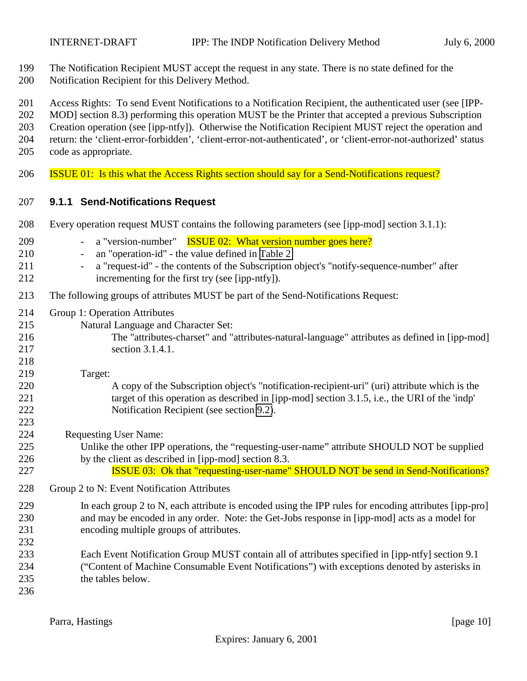<span id="page-9-0"></span>

- The Notification Recipient MUST accept the request in any state. There is no state defined for the
- Notification Recipient for this Delivery Method.
- Access Rights: To send Event Notifications to a Notification Recipient, the authenticated user (see [IPP-
- MOD] section 8.3) performing this operation MUST be the Printer that accepted a previous Subscription
- Creation operation (see [ipp-ntfy]). Otherwise the Notification Recipient MUST reject the operation and
- return: the 'client-error-forbidden', 'client-error-not-authenticated', or 'client-error-not-authorized' status
- code as appropriate.
- ISSUE 01: Is this what the Access Rights section should say for a Send-Notifications request?

# **9.1.1 Send-Notifications Request**

| 208                                    | Every operation request MUST contains the following parameters (see [ipp-mod] section 3.1.1):                                                                                                                                                                                                                                                                  |
|----------------------------------------|----------------------------------------------------------------------------------------------------------------------------------------------------------------------------------------------------------------------------------------------------------------------------------------------------------------------------------------------------------------|
| 209<br>210<br>211<br>212               | <b>ISSUE 02: What version number goes here?</b><br>a "version-number"<br>$\overline{\phantom{a}}$<br>an "operation-id" - the value defined in Table 2<br>$\overline{\phantom{a}}$<br>a "request-id" - the contents of the Subscription object's "notify-sequence-number" after<br>$\overline{\phantom{a}}$<br>incrementing for the first try (see [ipp-ntfy]). |
| 213                                    | The following groups of attributes MUST be part of the Send-Notifications Request:                                                                                                                                                                                                                                                                             |
| 214<br>215<br>216<br>217<br>218<br>219 | Group 1: Operation Attributes<br>Natural Language and Character Set:<br>The "attributes-charset" and "attributes-natural-language" attributes as defined in [ipp-mod]<br>section 3.1.4.1.<br>Target:                                                                                                                                                           |
| 220<br>221<br>222<br>223               | A copy of the Subscription object's "notification-recipient-uri" (uri) attribute which is the<br>target of this operation as described in [ipp-mod] section 3.1.5, i.e., the URI of the 'indp'<br>Notification Recipient (see section 9.2).                                                                                                                    |
| 224<br>225<br>226<br>227               | <b>Requesting User Name:</b><br>Unlike the other IPP operations, the "requesting-user-name" attribute SHOULD NOT be supplied<br>by the client as described in [ipp-mod] section 8.3.<br><b>ISSUE 03:</b> Ok that "requesting-user-name" SHOULD NOT be send in Send-Notifications?                                                                              |
| 228                                    | Group 2 to N: Event Notification Attributes                                                                                                                                                                                                                                                                                                                    |
| 229<br>230<br>231<br>232               | In each group 2 to N, each attribute is encoded using the IPP rules for encoding attributes [ipp-pro]<br>and may be encoded in any order. Note: the Get-Jobs response in [ipp-mod] acts as a model for<br>encoding multiple groups of attributes.                                                                                                              |
| 233<br>234<br>235<br>236               | Each Event Notification Group MUST contain all of attributes specified in [ipp-ntfy] section 9.1<br>("Content of Machine Consumable Event Notifications") with exceptions denoted by asterisks in<br>the tables below.                                                                                                                                         |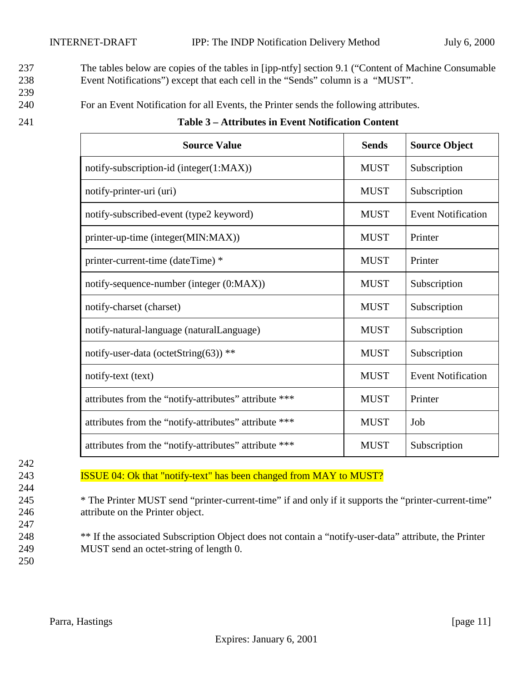<span id="page-10-0"></span>237 The tables below are copies of the tables in [ipp-ntfy] section 9.1 ("Content of Machine Consumable 238 Event Notifications") except that each cell in the "Sends" column is a "MUST".

- 239
- 240 For an Event Notification for all Events, the Printer sends the following attributes.

| <b>Source Value</b>                                   | <b>Sends</b> | <b>Source Object</b>      |
|-------------------------------------------------------|--------------|---------------------------|
| notify-subscription-id (integer(1:MAX))               | <b>MUST</b>  | Subscription              |
| notify-printer-uri (uri)                              | <b>MUST</b>  | Subscription              |
| notify-subscribed-event (type2 keyword)               | <b>MUST</b>  | <b>Event Notification</b> |
| printer-up-time (integer(MIN:MAX))                    | <b>MUST</b>  | Printer                   |
| printer-current-time (dateTime) *                     | <b>MUST</b>  | Printer                   |
| notify-sequence-number (integer (0:MAX))              | <b>MUST</b>  | Subscription              |
| notify-charset (charset)                              | <b>MUST</b>  | Subscription              |
| notify-natural-language (naturalLanguage)             | <b>MUST</b>  | Subscription              |
| notify-user-data (octetString(63)) **                 | <b>MUST</b>  | Subscription              |
| notify-text (text)                                    | <b>MUST</b>  | <b>Event Notification</b> |
| attributes from the "notify-attributes" attribute *** | <b>MUST</b>  | Printer                   |
| attributes from the "notify-attributes" attribute *** | <b>MUST</b>  | Job                       |
| attributes from the "notify-attributes" attribute *** | <b>MUST</b>  | Subscription              |

#### 241 **Table 3 – Attributes in Event Notification Content**

| 242 |
|-----|
| 243 |
| 244 |
| 245 |
| 246 |
| 247 |
| 248 |
| 249 |
|     |

ISSUE 04: Ok that "notify-text" has been changed from MAY to MUST?

\* The Printer MUST send "printer-current-time" if and only if it supports the "printer-current-time" attribute on the Printer object.

<sup>\*\*</sup> If the associated Subscription Object does not contain a "notify-user-data" attribute, the Printer MUST send an octet-string of length 0.

250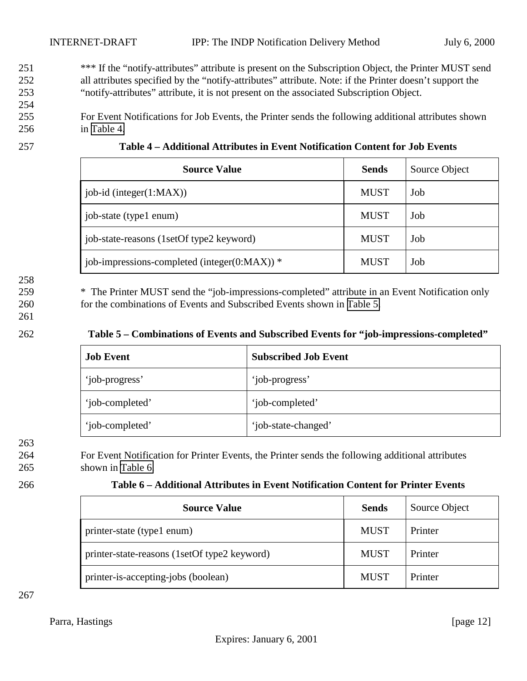- <span id="page-11-0"></span><sup>\*\*\*</sup> If the "notify-attributes" attribute is present on the Subscription Object, the Printer MUST send 252 all attributes specified by the "notify-attributes" attribute. Note: if the Printer doesn't support the 253 "notify-attributes" attribute, it is not present on the associated Subscription Object.
- 255 For Event Notifications for Job Events, the Printer sends the following additional attributes shown 256 in Table 4.

#### 257 **Table 4 – Additional Attributes in Event Notification Content for Job Events**

254

| <b>Source Value</b>                                | <b>Sends</b> | Source Object |
|----------------------------------------------------|--------------|---------------|
| $job-id$ (integer(1:MAX))                          | <b>MUST</b>  | Job           |
| job-state (type1 enum)                             | <b>MUST</b>  | Job           |
| job-state-reasons (1setOf type2 keyword)           | <b>MUST</b>  | Job           |
| job-impressions-completed (integer( $0$ :MAX)) $*$ | <b>MUST</b>  | Job           |

# 258

259 \* The Printer MUST send the "job-impressions-completed" attribute in an Event Notification only 260 for the combinations of Events and Subscribed Events shown in Table 5.

261

#### 262 **Table 5 – Combinations of Events and Subscribed Events for "job-impressions-completed"**

| <b>Job Event</b> | <b>Subscribed Job Event</b> |
|------------------|-----------------------------|
| 'job-progress'   | 'job-progress'              |
| 'job-completed'  | 'job-completed'             |
| 'job-completed'  | 'job-state-changed'         |

263

264 For Event Notification for Printer Events, the Printer sends the following additional attributes 265 shown in Table 6.

#### 266 **Table 6 – Additional Attributes in Event Notification Content for Printer Events**

| <b>Source Value</b>                          | <b>Sends</b> | Source Object |
|----------------------------------------------|--------------|---------------|
| printer-state (type1 enum)                   | <b>MUST</b>  | Printer       |
| printer-state-reasons (1setOf type2 keyword) | <b>MUST</b>  | Printer       |
| printer-is-accepting-jobs (boolean)          | <b>MUST</b>  | Printer       |

267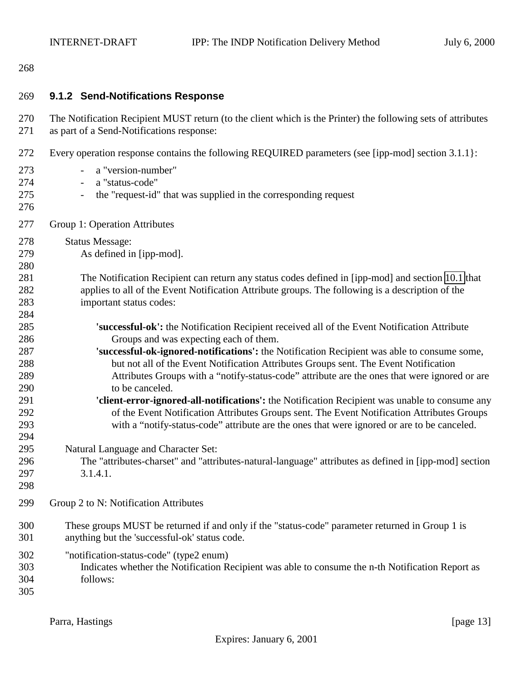### <span id="page-12-0"></span>

| 269                      | 9.1.2 Send-Notifications Response                                                                                                                                                                                                                                                    |
|--------------------------|--------------------------------------------------------------------------------------------------------------------------------------------------------------------------------------------------------------------------------------------------------------------------------------|
| 270<br>271               | The Notification Recipient MUST return (to the client which is the Printer) the following sets of attributes<br>as part of a Send-Notifications response:                                                                                                                            |
| 272<br>273               | Every operation response contains the following REQUIRED parameters (see [ipp-mod] section 3.1.1 }:<br>a "version-number"                                                                                                                                                            |
| 274<br>275<br>276        | a "status-code"<br>$\overline{\phantom{a}}$<br>the "request-id" that was supplied in the corresponding request<br>$\overline{\phantom{a}}$                                                                                                                                           |
| 277                      | Group 1: Operation Attributes                                                                                                                                                                                                                                                        |
| 278<br>279<br>280        | <b>Status Message:</b><br>As defined in [ipp-mod].                                                                                                                                                                                                                                   |
| 281<br>282<br>283<br>284 | The Notification Recipient can return any status codes defined in [ipp-mod] and section 10.1 that<br>applies to all of the Event Notification Attribute groups. The following is a description of the<br>important status codes:                                                     |
| 285<br>286               | 'successful-ok': the Notification Recipient received all of the Event Notification Attribute<br>Groups and was expecting each of them.                                                                                                                                               |
| 287<br>288<br>289        | 'successful-ok-ignored-notifications': the Notification Recipient was able to consume some,<br>but not all of the Event Notification Attributes Groups sent. The Event Notification<br>Attributes Groups with a "notify-status-code" attribute are the ones that were ignored or are |
| 290<br>291               | to be canceled.<br>'client-error-ignored-all-notifications': the Notification Recipient was unable to consume any                                                                                                                                                                    |
| 292<br>293<br>294        | of the Event Notification Attributes Groups sent. The Event Notification Attributes Groups<br>with a "notify-status-code" attribute are the ones that were ignored or are to be canceled.                                                                                            |
| 295<br>296<br>297<br>298 | Natural Language and Character Set:<br>The "attributes-charset" and "attributes-natural-language" attributes as defined in [ipp-mod] section<br>3.1.4.1.                                                                                                                             |
| 299                      | Group 2 to N: Notification Attributes                                                                                                                                                                                                                                                |
| 300<br>301               | These groups MUST be returned if and only if the "status-code" parameter returned in Group 1 is<br>anything but the 'successful-ok' status code.                                                                                                                                     |
| 302<br>303<br>304<br>305 | "notification-status-code" (type2 enum)<br>Indicates whether the Notification Recipient was able to consume the n-th Notification Report as<br>follows:                                                                                                                              |

Parra, Hastings [page 13]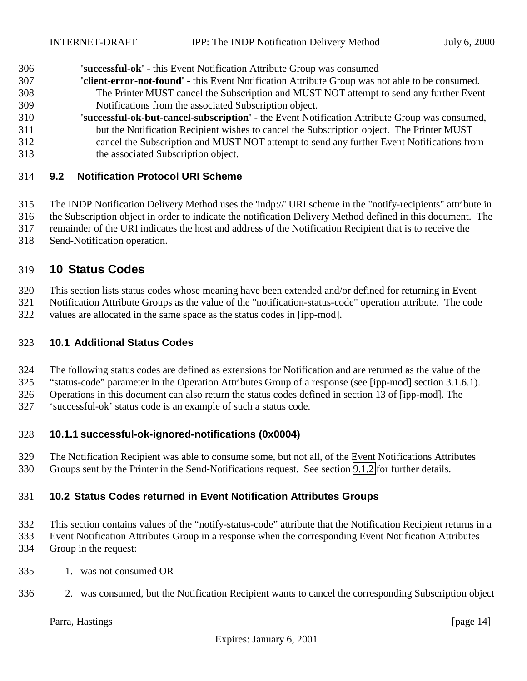<span id="page-13-0"></span>**'successful-ok'** - this Event Notification Attribute Group was consumed

- **'client-error-not-found'** this Event Notification Attribute Group was not able to be consumed. The Printer MUST cancel the Subscription and MUST NOT attempt to send any further Event Notifications from the associated Subscription object.
- **'successful-ok-but-cancel-subscription'** the Event Notification Attribute Group was consumed, but the Notification Recipient wishes to cancel the Subscription object. The Printer MUST cancel the Subscription and MUST NOT attempt to send any further Event Notifications from the associated Subscription object.

#### **9.2 Notification Protocol URI Scheme**

The INDP Notification Delivery Method uses the 'indp://' URI scheme in the "notify-recipients" attribute in

the Subscription object in order to indicate the notification Delivery Method defined in this document. The

remainder of the URI indicates the host and address of the Notification Recipient that is to receive the

Send-Notification operation.

# **10 Status Codes**

This section lists status codes whose meaning have been extended and/or defined for returning in Event

Notification Attribute Groups as the value of the "notification-status-code" operation attribute. The code

values are allocated in the same space as the status codes in [ipp-mod].

#### **10.1 Additional Status Codes**

The following status codes are defined as extensions for Notification and are returned as the value of the

"status-code" parameter in the Operation Attributes Group of a response (see [ipp-mod] section 3.1.6.1).

Operations in this document can also return the status codes defined in section 13 of [ipp-mod]. The

'successful-ok' status code is an example of such a status code.

### **10.1.1 successful-ok-ignored-notifications (0x0004)**

 The Notification Recipient was able to consume some, but not all, of the Event Notifications Attributes Groups sent by the Printer in the Send-Notifications request. See section [9.1.2](#page-12-0) for further details.

#### **10.2 Status Codes returned in Event Notification Attributes Groups**

This section contains values of the "notify-status-code" attribute that the Notification Recipient returns in a

Event Notification Attributes Group in a response when the corresponding Event Notification Attributes

- Group in the request:
- 1. was not consumed OR
- 2. was consumed, but the Notification Recipient wants to cancel the corresponding Subscription object

### Parra, Hastings [page 14]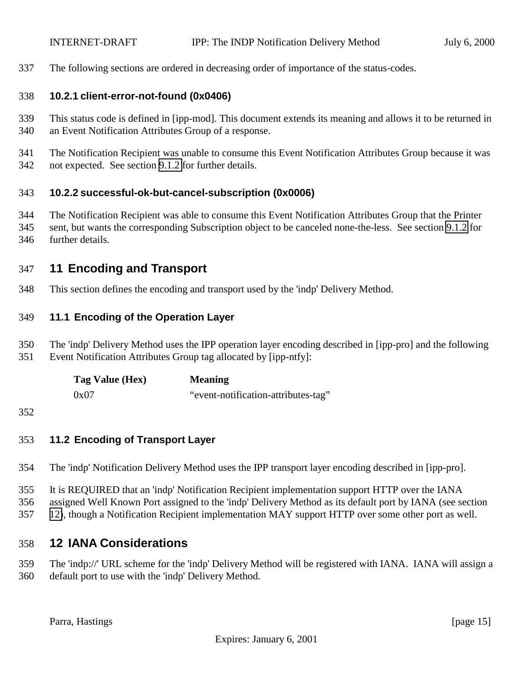<span id="page-14-0"></span>The following sections are ordered in decreasing order of importance of the status-codes.

#### **10.2.1 client-error-not-found (0x0406)**

- This status code is defined in [ipp-mod]. This document extends its meaning and allows it to be returned in an Event Notification Attributes Group of a response.
- The Notification Recipient was unable to consume this Event Notification Attributes Group because it was not expected. See section [9.1.2](#page-12-0) for further details.

#### **10.2.2 successful-ok-but-cancel-subscription (0x0006)**

 The Notification Recipient was able to consume this Event Notification Attributes Group that the Printer sent, but wants the corresponding Subscription object to be canceled none-the-less. See section [9.1.2](#page-12-0) for further details.

# **11 Encoding and Transport**

This section defines the encoding and transport used by the 'indp' Delivery Method.

#### **11.1 Encoding of the Operation Layer**

 The 'indp' Delivery Method uses the IPP operation layer encoding described in [ipp-pro] and the following Event Notification Attributes Group tag allocated by [ipp-ntfy]:

| Tag Value (Hex) | <b>Meaning</b>                      |
|-----------------|-------------------------------------|
| 0x07            | "event-notification-attributes-tag" |

#### **11.2 Encoding of Transport Layer**

- The 'indp' Notification Delivery Method uses the IPP transport layer encoding described in [ipp-pro].
- It is REQUIRED that an 'indp' Notification Recipient implementation support HTTP over the IANA
- assigned Well Known Port assigned to the 'indp' Delivery Method as its default port by IANA (see section
- 12), though a Notification Recipient implementation MAY support HTTP over some other port as well.

# **12 IANA Considerations**

 The 'indp://' URL scheme for the 'indp' Delivery Method will be registered with IANA. IANA will assign a default port to use with the 'indp' Delivery Method.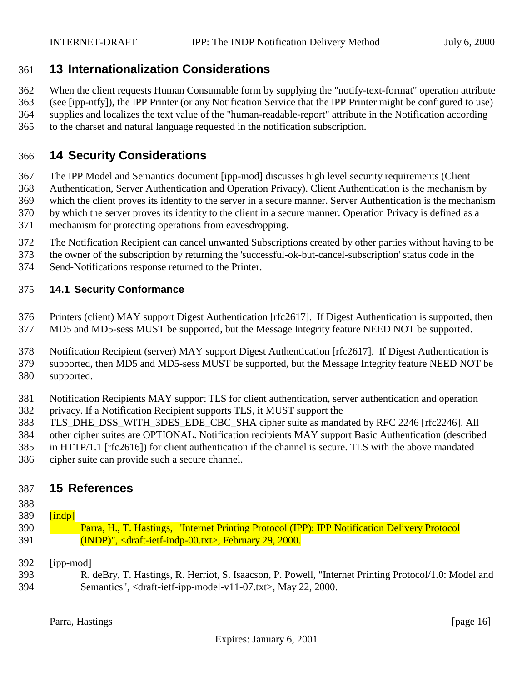# <span id="page-15-0"></span>**13 Internationalization Considerations**

 When the client requests Human Consumable form by supplying the "notify-text-format" operation attribute (see [ipp-ntfy]), the IPP Printer (or any Notification Service that the IPP Printer might be configured to use) supplies and localizes the text value of the "human-readable-report" attribute in the Notification according to the charset and natural language requested in the notification subscription.

# **14 Security Considerations**

 The IPP Model and Semantics document [ipp-mod] discusses high level security requirements (Client Authentication, Server Authentication and Operation Privacy). Client Authentication is the mechanism by which the client proves its identity to the server in a secure manner. Server Authentication is the mechanism by which the server proves its identity to the client in a secure manner. Operation Privacy is defined as a mechanism for protecting operations from eavesdropping.

- The Notification Recipient can cancel unwanted Subscriptions created by other parties without having to be
- the owner of the subscription by returning the 'successful-ok-but-cancel-subscription' status code in the
- Send-Notifications response returned to the Printer.

#### **14.1 Security Conformance**

 Printers (client) MAY support Digest Authentication [rfc2617]. If Digest Authentication is supported, then MD5 and MD5-sess MUST be supported, but the Message Integrity feature NEED NOT be supported.

 Notification Recipient (server) MAY support Digest Authentication [rfc2617]. If Digest Authentication is supported, then MD5 and MD5-sess MUST be supported, but the Message Integrity feature NEED NOT be supported.

- Notification Recipients MAY support TLS for client authentication, server authentication and operation privacy. If a Notification Recipient supports TLS, it MUST support the
- TLS\_DHE\_DSS\_WITH\_3DES\_EDE\_CBC\_SHA cipher suite as mandated by RFC 2246 [rfc2246]. All
- other cipher suites are OPTIONAL. Notification recipients MAY support Basic Authentication (described

 in HTTP/1.1 [rfc2616]) for client authentication if the channel is secure. TLS with the above mandated cipher suite can provide such a secure channel.

### **15 References**

- 
- $\boxed{\text{indpl}}$  Parra, H., T. Hastings, "Internet Printing Protocol (IPP): IPP Notification Delivery Protocol (INDP)", <draft-ietf-indp-00.txt>, February 29, 2000.
- [ipp-mod]
- R. deBry, T. Hastings, R. Herriot, S. Isaacson, P. Powell, "Internet Printing Protocol/1.0: Model and Semantics", <draft-ietf-ipp-model-v11-07.txt>, May 22, 2000.

Parra, Hastings [page 16]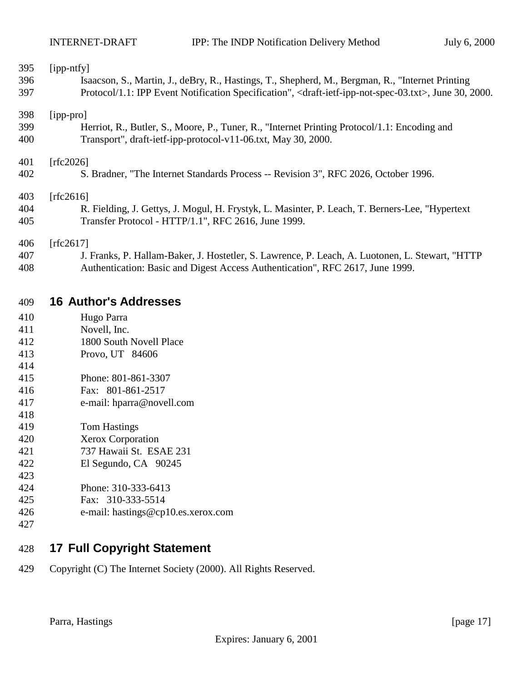<span id="page-16-0"></span>

| 395        | [ipp-ntfy]                                                                                                                             |
|------------|----------------------------------------------------------------------------------------------------------------------------------------|
| 396        | Isaacson, S., Martin, J., deBry, R., Hastings, T., Shepherd, M., Bergman, R., "Internet Printing                                       |
| 397        | Protocol/1.1: IPP Event Notification Specification", <draft-ietf-ipp-not-spec-03.txt>, June 30, 2000.</draft-ietf-ipp-not-spec-03.txt> |
| 398        | [ipp-pro]                                                                                                                              |
| 399        | Herriot, R., Butler, S., Moore, P., Tuner, R., "Internet Printing Protocol/1.1: Encoding and                                           |
| 400        | Transport", draft-ietf-ipp-protocol-v11-06.txt, May 30, 2000.                                                                          |
| 401        | [rfc2026]                                                                                                                              |
| 402        | S. Bradner, "The Internet Standards Process -- Revision 3", RFC 2026, October 1996.                                                    |
| 403        | [rfc2616]                                                                                                                              |
| 404        | R. Fielding, J. Gettys, J. Mogul, H. Frystyk, L. Masinter, P. Leach, T. Berners-Lee, "Hypertext"                                       |
| 405        | Transfer Protocol - HTTP/1.1", RFC 2616, June 1999.                                                                                    |
| 406        | [ $rfc2617$ ]                                                                                                                          |
| 407        | J. Franks, P. Hallam-Baker, J. Hostetler, S. Lawrence, P. Leach, A. Luotonen, L. Stewart, "HTTP                                        |
| 408        | Authentication: Basic and Digest Access Authentication", RFC 2617, June 1999.                                                          |
| 409        | <b>16 Author's Addresses</b>                                                                                                           |
| 410        | Hugo Parra                                                                                                                             |
| 411        | Novell, Inc.                                                                                                                           |
| $\sqrt{4}$ | $10000 - 1111$                                                                                                                         |

- 1800 South Novell Place
- Provo, UT 84606
- Phone: 801-861-3307
- Fax: 801-861-2517
- e-mail: hparra@novell.com
- Tom Hastings
- Xerox Corporation
- 737 Hawaii St. ESAE 231
- El Segundo, CA 90245
- 
- Phone: 310-333-6413
- Fax: 310-333-5514
- e-mail: hastings@cp10.es.xerox.com
- 

# **17 Full Copyright Statement**

Copyright (C) The Internet Society (2000). All Rights Reserved.